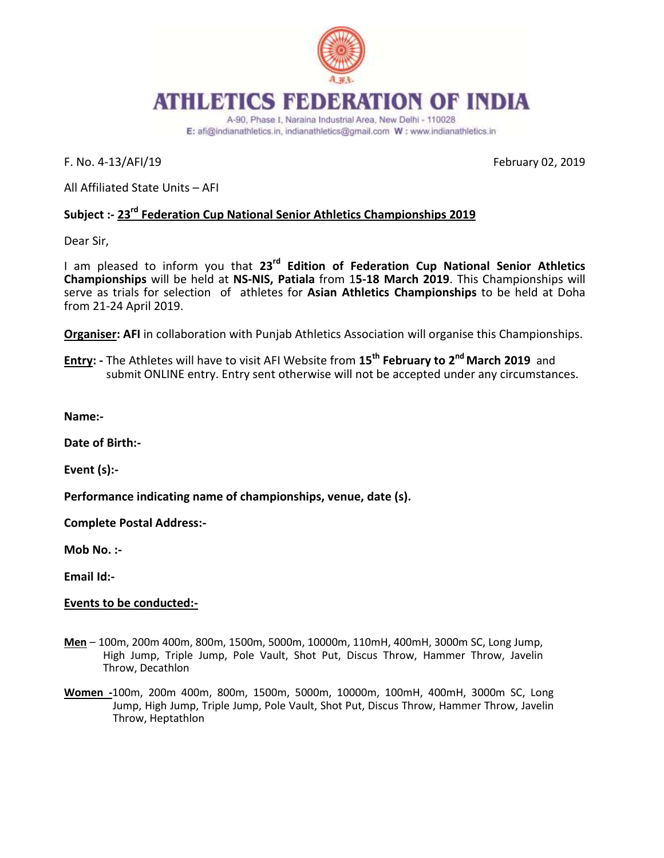

## **ATHLETICS FEDERATION OF INDIA**

A-90, Phase I, Naraina Industrial Area, New Delhi - 110028 E: afi@indianathletics.in, indianathletics@gmail.com W: www.indianathletics.in

F. No. 4-13/AFI/19 February 02, 2019

All Affiliated State Units – AFI

#### **Subject :- 23rd Federation Cup National Senior Athletics Championships 2019**

Dear Sir,

I am pleased to inform you that **23rd Edition of Federation Cup National Senior Athletics Championships** will be held at **NS-NIS, Patiala** from 1**5-18 March 2019**. This Championships will serve as trials for selection of athletes for **Asian Athletics Championships** to be held at Doha from 21-24 April 2019.

**Organiser: AFI** in collaboration with Punjab Athletics Association will organise this Championships.

**Entry: -** The Athletes will have to visit AFI Website from **15th February to 2 nd March 2019** and submit ONLINE entry. Entry sent otherwise will not be accepted under any circumstances.

**Name:-**

**Date of Birth:-**

**Event (s):-**

**Performance indicating name of championships, venue, date (s).**

**Complete Postal Address:-**

**Mob No. :-**

**Email Id:-**

#### **Events to be conducted:-**

- **Men** 100m, 200m 400m, 800m, 1500m, 5000m, 10000m, 110mH, 400mH, 3000m SC, Long Jump, High Jump, Triple Jump, Pole Vault, Shot Put, Discus Throw, Hammer Throw, Javelin Throw, Decathlon
- **Women -**100m, 200m 400m, 800m, 1500m, 5000m, 10000m, 100mH, 400mH, 3000m SC, Long Jump, High Jump, Triple Jump, Pole Vault, Shot Put, Discus Throw, Hammer Throw, Javelin Throw, Heptathlon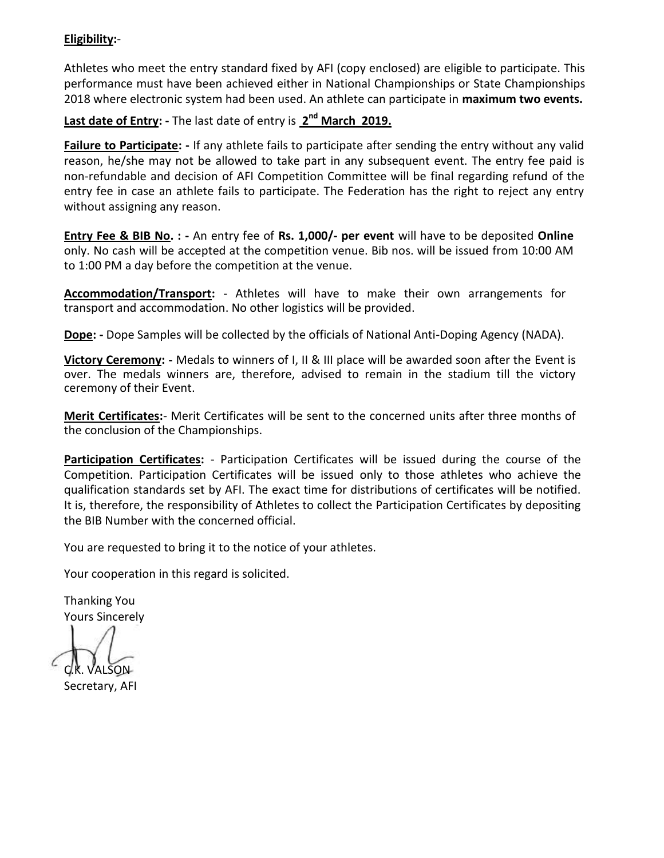#### **Eligibility:**-

Athletes who meet the entry standard fixed by AFI (copy enclosed) are eligible to participate. This performance must have been achieved either in National Championships or State Championships 2018 where electronic system had been used. An athlete can participate in **maximum two events.**

#### **Last date of Entry: -** The last date of entry is **2 nd March 2019.**

**Failure to Participate: -** If any athlete fails to participate after sending the entry without any valid reason, he/she may not be allowed to take part in any subsequent event. The entry fee paid is non-refundable and decision of AFI Competition Committee will be final regarding refund of the entry fee in case an athlete fails to participate. The Federation has the right to reject any entry without assigning any reason.

**Entry Fee & BIB No. : -** An entry fee of **Rs. 1,000/- per event** will have to be deposited **Online**  only. No cash will be accepted at the competition venue. Bib nos. will be issued from 10:00 AM to 1:00 PM a day before the competition at the venue.

**Accommodation/Transport:** - Athletes will have to make their own arrangements for transport and accommodation. No other logistics will be provided.

**Dope: -** Dope Samples will be collected by the officials of National Anti-Doping Agency (NADA).

**Victory Ceremony: -** Medals to winners of I, II & III place will be awarded soon after the Event is over. The medals winners are, therefore, advised to remain in the stadium till the victory ceremony of their Event.

**Merit Certificates:**- Merit Certificates will be sent to the concerned units after three months of the conclusion of the Championships.

**Participation Certificates:** - Participation Certificates will be issued during the course of the Competition. Participation Certificates will be issued only to those athletes who achieve the qualification standards set by AFI. The exact time for distributions of certificates will be notified. It is, therefore, the responsibility of Athletes to collect the Participation Certificates by depositing the BIB Number with the concerned official.

You are requested to bring it to the notice of your athletes.

Your cooperation in this regard is solicited.

Thanking You Yours Sincerely

**k. Valson** 

Secretary, AFI